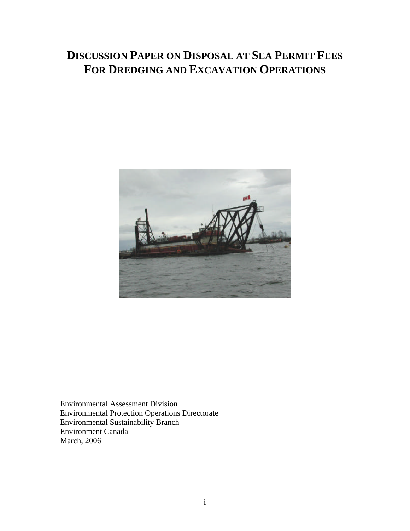# **DISCUSSION PAPER ON DISPOSAL AT SEA PERMIT FEES FOR DREDGING AND EXCAVATION OPERATIONS**



Environmental Assessment Division Environmental Protection Operations Directorate Environmental Sustainability Branch Environment Canada March, 2006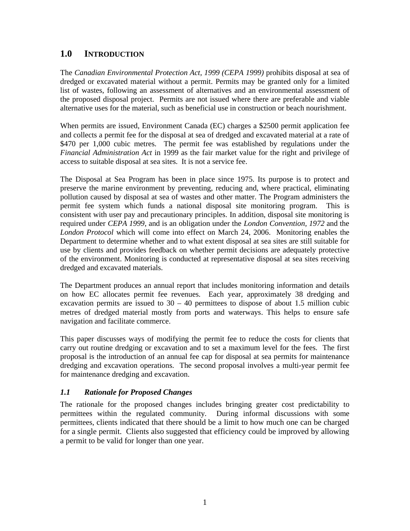## **1.0 INTRODUCTION**

The *Canadian Environmental Protection Act, 1999 (CEPA 1999)* prohibits disposal at sea of dredged or excavated material without a permit. Permits may be granted only for a limited list of wastes, following an assessment of alternatives and an environmental assessment of the proposed disposal project. Permits are not issued where there are preferable and viable alternative uses for the material, such as beneficial use in construction or beach nourishment.

When permits are issued, Environment Canada (EC) charges a \$2500 permit application fee and collects a permit fee for the disposal at sea of dredged and excavated material at a rate of \$470 per 1,000 cubic metres. The permit fee was established by regulations under the *Financial Administration Act* in 1999 as the fair market value for the right and privilege of access to suitable disposal at sea sites. It is not a service fee.

The Disposal at Sea Program has been in place since 1975. Its purpose is to protect and preserve the marine environment by preventing, reducing and, where practical, eliminating pollution caused by disposal at sea of wastes and other matter. The Program administers the permit fee system which funds a national disposal site monitoring program. This is consistent with user pay and precautionary principles. In addition, disposal site monitoring is required under *CEPA 1999*, and is an obligation under the *London Convention, 1972* and the *London Protocol* which will come into effect on March 24, 2006. Monitoring enables the Department to determine whether and to what extent disposal at sea sites are still suitable for use by clients and provides feedback on whether permit decisions are adequately protective of the environment. Monitoring is conducted at representative disposal at sea sites receiving dredged and excavated materials.

The Department produces an annual report that includes monitoring information and details on how EC allocates permit fee revenues. Each year, approximately 38 dredging and excavation permits are issued to  $30 - 40$  permittees to dispose of about 1.5 million cubic metres of dredged material mostly from ports and waterways. This helps to ensure safe navigation and facilitate commerce.

This paper discusses ways of modifying the permit fee to reduce the costs for clients that carry out routine dredging or excavation and to set a maximum level for the fees. The first proposal is the introduction of an annual fee cap for disposal at sea permits for maintenance dredging and excavation operations. The second proposal involves a multi-year permit fee for maintenance dredging and excavation.

#### *1.1 Rationale for Proposed Changes*

The rationale for the proposed changes includes bringing greater cost predictability to permittees within the regulated community. During informal discussions with some permittees, clients indicated that there should be a limit to how much one can be charged for a single permit. Clients also suggested that efficiency could be improved by allowing a permit to be valid for longer than one year.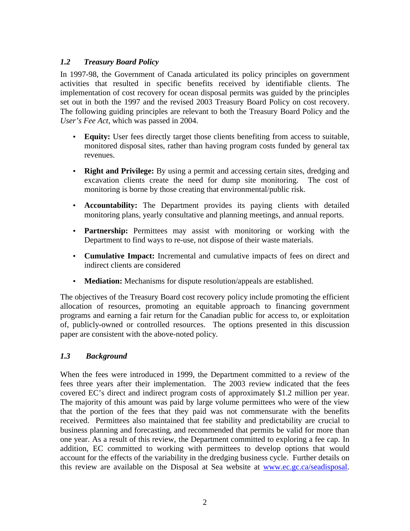## *1.2 Treasury Board Policy*

In 1997-98, the Government of Canada articulated its policy principles on government activities that resulted in specific benefits received by identifiable clients. The implementation of cost recovery for ocean disposal permits was guided by the principles set out in both the 1997 and the revised 2003 Treasury Board Policy on cost recovery. The following guiding principles are relevant to both the Treasury Board Policy and the *User's Fee Act,* which was passed in 2004.

- **Equity:** User fees directly target those clients benefiting from access to suitable, monitored disposal sites, rather than having program costs funded by general tax revenues.
- **Right and Privilege:** By using a permit and accessing certain sites, dredging and excavation clients create the need for dump site monitoring. The cost of monitoring is borne by those creating that environmental/public risk.
- **Accountability:** The Department provides its paying clients with detailed monitoring plans, yearly consultative and planning meetings, and annual reports.
- **Partnership:** Permittees may assist with monitoring or working with the Department to find ways to re-use, not dispose of their waste materials.
- **Cumulative Impact:** Incremental and cumulative impacts of fees on direct and indirect clients are considered
- **Mediation:** Mechanisms for dispute resolution/appeals are established.

The objectives of the Treasury Board cost recovery policy include promoting the efficient allocation of resources, promoting an equitable approach to financing government programs and earning a fair return for the Canadian public for access to, or exploitation of, publicly-owned or controlled resources. The options presented in this discussion paper are consistent with the above-noted policy.

#### *1.3 Background*

When the fees were introduced in 1999, the Department committed to a review of the fees three years after their implementation. The 2003 review indicated that the fees covered EC's direct and indirect program costs of approximately \$1.2 million per year. The majority of this amount was paid by large volume permittees who were of the view that the portion of the fees that they paid was not commensurate with the benefits received. Permittees also maintained that fee stability and predictability are crucial to business planning and forecasting, and recommended that permits be valid for more than one year. As a result of this review, the Department committed to exploring a fee cap. In addition, EC committed to working with permittees to develop options that would account for the effects of the variability in the dredging business cycle. Further details on this review are available on the Disposal at Sea website at www.ec.gc.ca/seadisposal.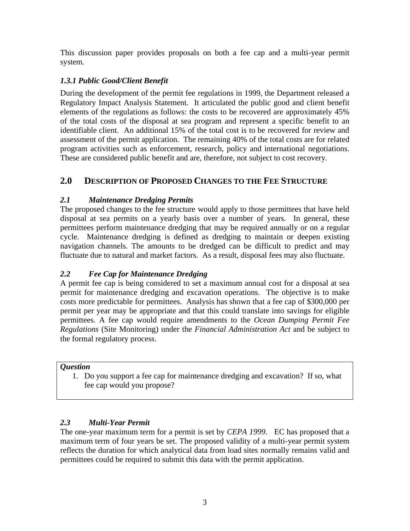This discussion paper provides proposals on both a fee cap and a multi-year permit system.

# *1.3.1 Public Good/Client Benefit*

During the development of the permit fee regulations in 1999, the Department released a Regulatory Impact Analysis Statement. It articulated the public good and client benefit elements of the regulations as follows: the costs to be recovered are approximately 45% of the total costs of the disposal at sea program and represent a specific benefit to an identifiable client. An additional 15% of the total cost is to be recovered for review and assessment of the permit application. The remaining 40% of the total costs are for related program activities such as enforcement, research, policy and international negotiations. These are considered public benefit and are, therefore, not subject to cost recovery.

# **2.0 DESCRIPTION OF PROPOSED CHANGES TO THE FEE STRUCTURE**

## *2.1 Maintenance Dredging Permits*

The proposed changes to the fee structure would apply to those permittees that have held disposal at sea permits on a yearly basis over a number of years. In general, these permittees perform maintenance dredging that may be required annually or on a regular cycle. Maintenance dredging is defined as dredging to maintain or deepen existing navigation channels. The amounts to be dredged can be difficult to predict and may fluctuate due to natural and market factors. As a result, disposal fees may also fluctuate.

## *2.2 Fee Cap for Maintenance Dredging*

A permit fee cap is being considered to set a maximum annual cost for a disposal at sea permit for maintenance dredging and excavation operations. The objective is to make costs more predictable for permittees. Analysis has shown that a fee cap of \$300,000 per permit per year may be appropriate and that this could translate into savings for eligible permittees. A fee cap would require amendments to the *Ocean Dumping Permit Fee Regulations* (Site Monitoring) under the *Financial Administration Act* and be subject to the formal regulatory process.

#### *Question*

1. Do you support a fee cap for maintenance dredging and excavation? If so, what fee cap would you propose?

## *2.3 Multi-Year Permit*

The one-year maximum term for a permit is set by *CEPA 1999*. EC has proposed that a maximum term of four years be set. The proposed validity of a multi-year permit system reflects the duration for which analytical data from load sites normally remains valid and permittees could be required to submit this data with the permit application.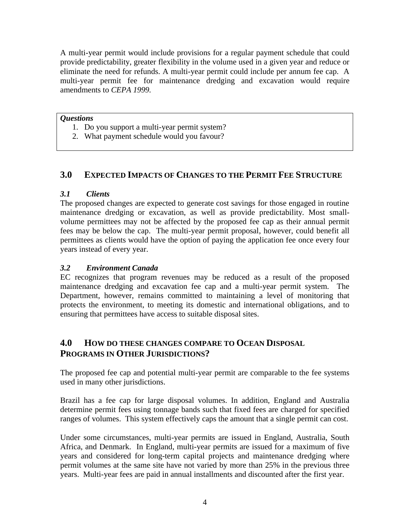A multi-year permit would include provisions for a regular payment schedule that could provide predictability, greater flexibility in the volume used in a given year and reduce or eliminate the need for refunds. A multi-year permit could include per annum fee cap. A multi-year permit fee for maintenance dredging and excavation would require amendments to *CEPA 1999.*

#### *Questions*

- 1. Do you support a multi-year permit system?
- 2. What payment schedule would you favour?

## **3.0 EXPECTED IMPACTS OF CHANGES TO THE PERMIT FEE STRUCTURE**

#### *3.1 Clients*

The proposed changes are expected to generate cost savings for those engaged in routine maintenance dredging or excavation, as well as provide predictability. Most smallvolume permittees may not be affected by the proposed fee cap as their annual permit fees may be below the cap. The multi-year permit proposal, however, could benefit all permittees as clients would have the option of paying the application fee once every four years instead of every year.

#### *3.2 Environment Canada*

EC recognizes that program revenues may be reduced as a result of the proposed maintenance dredging and excavation fee cap and a multi-year permit system. The Department, however, remains committed to maintaining a level of monitoring that protects the environment, to meeting its domestic and international obligations, and to ensuring that permittees have access to suitable disposal sites.

## **4.0 HOW DO THESE CHANGES COMPARE TO OCEAN DISPOSAL PROGRAMS IN OTHER JURISDICTIONS?**

The proposed fee cap and potential multi-year permit are comparable to the fee systems used in many other jurisdictions.

Brazil has a fee cap for large disposal volumes. In addition, England and Australia determine permit fees using tonnage bands such that fixed fees are charged for specified ranges of volumes. This system effectively caps the amount that a single permit can cost.

Under some circumstances, multi-year permits are issued in England, Australia, South Africa, and Denmark. In England, multi-year permits are issued for a maximum of five years and considered for long-term capital projects and maintenance dredging where permit volumes at the same site have not varied by more than 25% in the previous three years. Multi-year fees are paid in annual installments and discounted after the first year.